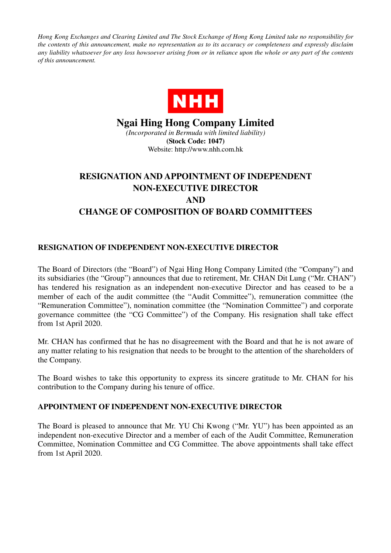*Hong Kong Exchanges and Clearing Limited and The Stock Exchange of Hong Kong Limited take no responsibility for the contents of this announcement, make no representation as to its accuracy or completeness and expressly disclaim any liability whatsoever for any loss howsoever arising from or in reliance upon the whole or any part of the contents of this announcement.* 



## **Ngai Hing Hong Company Limited**

*(Incorporated in Bermuda with limited liability)*  **(Stock Code: 1047)**  Website: http://www.nhh.com.hk

## **RESIGNATION AND APPOINTMENT OF INDEPENDENT NON-EXECUTIVE DIRECTOR AND CHANGE OF COMPOSITION OF BOARD COMMITTEES**

## **RESIGNATION OF INDEPENDENT NON-EXECUTIVE DIRECTOR**

The Board of Directors (the "Board") of Ngai Hing Hong Company Limited (the "Company") and its subsidiaries (the "Group") announces that due to retirement, Mr. CHAN Dit Lung ("Mr. CHAN") has tendered his resignation as an independent non-executive Director and has ceased to be a member of each of the audit committee (the "Audit Committee"), remuneration committee (the "Remuneration Committee"), nomination committee (the "Nomination Committee") and corporate governance committee (the "CG Committee") of the Company. His resignation shall take effect from 1st April 2020.

Mr. CHAN has confirmed that he has no disagreement with the Board and that he is not aware of any matter relating to his resignation that needs to be brought to the attention of the shareholders of the Company.

The Board wishes to take this opportunity to express its sincere gratitude to Mr. CHAN for his contribution to the Company during his tenure of office.

## **APPOINTMENT OF INDEPENDENT NON-EXECUTIVE DIRECTOR**

The Board is pleased to announce that Mr. YU Chi Kwong ("Mr. YU") has been appointed as an independent non-executive Director and a member of each of the Audit Committee, Remuneration Committee, Nomination Committee and CG Committee. The above appointments shall take effect from 1st April 2020.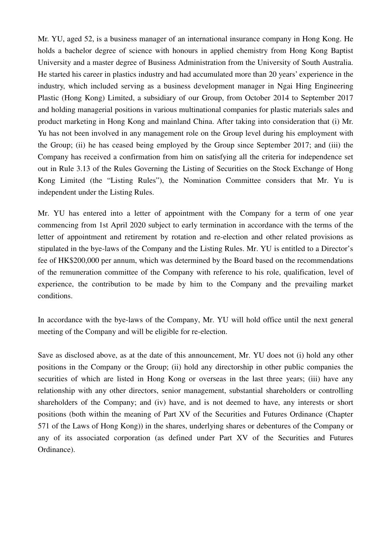Mr. YU, aged 52, is a business manager of an international insurance company in Hong Kong. He holds a bachelor degree of science with honours in applied chemistry from Hong Kong Baptist University and a master degree of Business Administration from the University of South Australia. He started his career in plastics industry and had accumulated more than 20 years' experience in the industry, which included serving as a business development manager in Ngai Hing Engineering Plastic (Hong Kong) Limited, a subsidiary of our Group, from October 2014 to September 2017 and holding managerial positions in various multinational companies for plastic materials sales and product marketing in Hong Kong and mainland China. After taking into consideration that (i) Mr. Yu has not been involved in any management role on the Group level during his employment with the Group; (ii) he has ceased being employed by the Group since September 2017; and (iii) the Company has received a confirmation from him on satisfying all the criteria for independence set out in Rule 3.13 of the Rules Governing the Listing of Securities on the Stock Exchange of Hong Kong Limited (the "Listing Rules"), the Nomination Committee considers that Mr. Yu is independent under the Listing Rules.

Mr. YU has entered into a letter of appointment with the Company for a term of one year commencing from 1st April 2020 subject to early termination in accordance with the terms of the letter of appointment and retirement by rotation and re-election and other related provisions as stipulated in the bye-laws of the Company and the Listing Rules. Mr. YU is entitled to a Director's fee of HK\$200,000 per annum, which was determined by the Board based on the recommendations of the remuneration committee of the Company with reference to his role, qualification, level of experience, the contribution to be made by him to the Company and the prevailing market conditions.

In accordance with the bye-laws of the Company, Mr. YU will hold office until the next general meeting of the Company and will be eligible for re-election.

Save as disclosed above, as at the date of this announcement, Mr. YU does not (i) hold any other positions in the Company or the Group; (ii) hold any directorship in other public companies the securities of which are listed in Hong Kong or overseas in the last three years; (iii) have any relationship with any other directors, senior management, substantial shareholders or controlling shareholders of the Company; and (iv) have, and is not deemed to have, any interests or short positions (both within the meaning of Part XV of the Securities and Futures Ordinance (Chapter 571 of the Laws of Hong Kong)) in the shares, underlying shares or debentures of the Company or any of its associated corporation (as defined under Part XV of the Securities and Futures Ordinance).